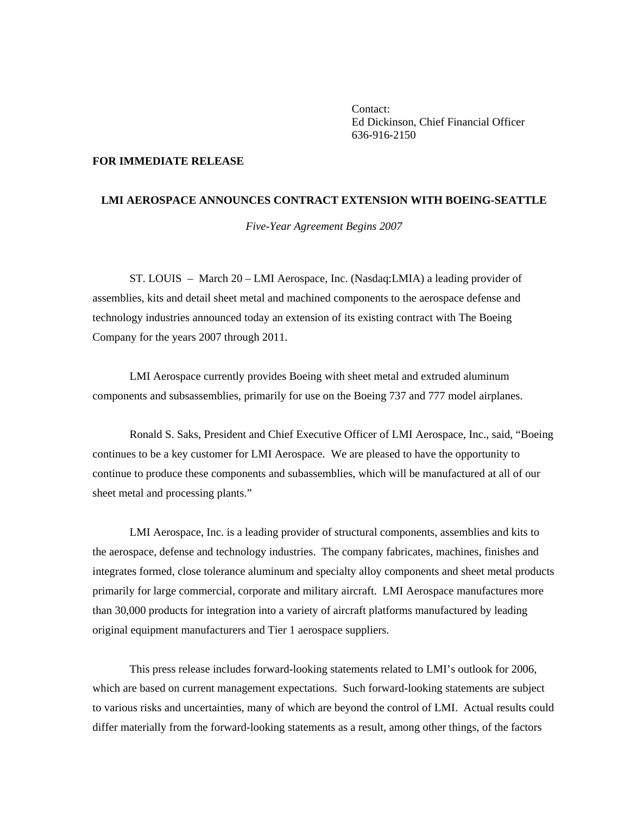Contact: Ed Dickinson, Chief Financial Officer 636-916-2150

## **FOR IMMEDIATE RELEASE**

## **LMI AEROSPACE ANNOUNCES CONTRACT EXTENSION WITH BOEING-SEATTLE**

*Five-Year Agreement Begins 2007* 

 ST. LOUIS – March 20 – LMI Aerospace, Inc. (Nasdaq:LMIA) a leading provider of assemblies, kits and detail sheet metal and machined components to the aerospace defense and technology industries announced today an extension of its existing contract with The Boeing Company for the years 2007 through 2011.

 LMI Aerospace currently provides Boeing with sheet metal and extruded aluminum components and subsassemblies, primarily for use on the Boeing 737 and 777 model airplanes.

 Ronald S. Saks, President and Chief Executive Officer of LMI Aerospace, Inc., said, "Boeing continues to be a key customer for LMI Aerospace. We are pleased to have the opportunity to continue to produce these components and subassemblies, which will be manufactured at all of our sheet metal and processing plants."

 LMI Aerospace, Inc. is a leading provider of structural components, assemblies and kits to the aerospace, defense and technology industries. The company fabricates, machines, finishes and integrates formed, close tolerance aluminum and specialty alloy components and sheet metal products primarily for large commercial, corporate and military aircraft. LMI Aerospace manufactures more than 30,000 products for integration into a variety of aircraft platforms manufactured by leading original equipment manufacturers and Tier 1 aerospace suppliers.

 This press release includes forward-looking statements related to LMI's outlook for 2006, which are based on current management expectations. Such forward-looking statements are subject to various risks and uncertainties, many of which are beyond the control of LMI. Actual results could differ materially from the forward-looking statements as a result, among other things, of the factors